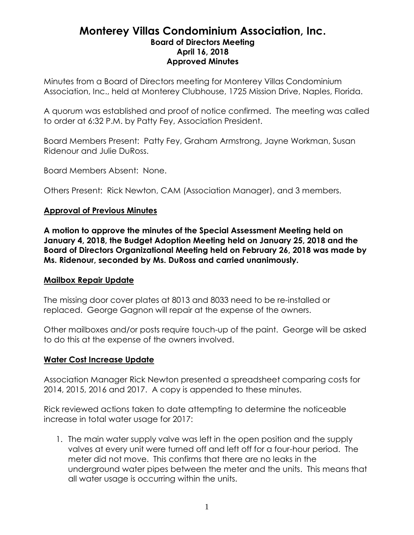## **Monterey Villas Condominium Association, Inc. Board of Directors Meeting April 16, 2018 Approved Minutes**

Minutes from a Board of Directors meeting for Monterey Villas Condominium Association, Inc., held at Monterey Clubhouse, 1725 Mission Drive, Naples, Florida.

A quorum was established and proof of notice confirmed. The meeting was called to order at 6:32 P.M. by Patty Fey, Association President.

Board Members Present: Patty Fey, Graham Armstrong, Jayne Workman, Susan Ridenour and Julie DuRoss.

Board Members Absent: None.

Others Present: Rick Newton, CAM (Association Manager), and 3 members.

### **Approval of Previous Minutes**

**A motion to approve the minutes of the Special Assessment Meeting held on January 4, 2018, the Budget Adoption Meeting held on January 25, 2018 and the Board of Directors Organizational Meeting held on February 26, 2018 was made by Ms. Ridenour, seconded by Ms. DuRoss and carried unanimously.**

#### **Mailbox Repair Update**

The missing door cover plates at 8013 and 8033 need to be re-installed or replaced. George Gagnon will repair at the expense of the owners.

Other mailboxes and/or posts require touch-up of the paint. George will be asked to do this at the expense of the owners involved.

#### **Water Cost Increase Update**

Association Manager Rick Newton presented a spreadsheet comparing costs for 2014, 2015, 2016 and 2017. A copy is appended to these minutes.

Rick reviewed actions taken to date attempting to determine the noticeable increase in total water usage for 2017:

1. The main water supply valve was left in the open position and the supply valves at every unit were turned off and left off for a four-hour period. The meter did not move. This confirms that there are no leaks in the underground water pipes between the meter and the units. This means that all water usage is occurring within the units.